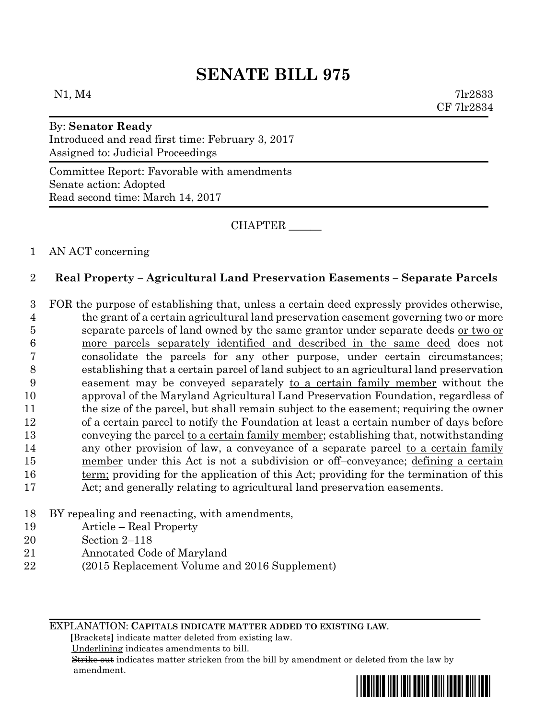# **SENATE BILL 975**

 $N1, M4$  7lr2833 CF 7lr2834

#### By: **Senator Ready**

Introduced and read first time: February 3, 2017 Assigned to: Judicial Proceedings

Committee Report: Favorable with amendments Senate action: Adopted Read second time: March 14, 2017

CHAPTER \_\_\_\_\_\_

### 1 AN ACT concerning

## 2 **Real Property – Agricultural Land Preservation Easements – Separate Parcels**

 FOR the purpose of establishing that, unless a certain deed expressly provides otherwise, the grant of a certain agricultural land preservation easement governing two or more separate parcels of land owned by the same grantor under separate deeds or two or more parcels separately identified and described in the same deed does not consolidate the parcels for any other purpose, under certain circumstances; establishing that a certain parcel of land subject to an agricultural land preservation easement may be conveyed separately to a certain family member without the approval of the Maryland Agricultural Land Preservation Foundation, regardless of the size of the parcel, but shall remain subject to the easement; requiring the owner of a certain parcel to notify the Foundation at least a certain number of days before conveying the parcel to a certain family member; establishing that, notwithstanding 14 any other provision of law, a conveyance of a separate parcel to a certain family member under this Act is not a subdivision or off–conveyance; defining a certain 16 term; providing for the application of this Act; providing for the termination of this Act; and generally relating to agricultural land preservation easements.

- 18 BY repealing and reenacting, with amendments,
- 19 Article Real Property
- 20 Section 2–118
- 21 Annotated Code of Maryland
- 22 (2015 Replacement Volume and 2016 Supplement)

EXPLANATION: **CAPITALS INDICATE MATTER ADDED TO EXISTING LAW**.

 **[**Brackets**]** indicate matter deleted from existing law.

Underlining indicates amendments to bill.

 Strike out indicates matter stricken from the bill by amendment or deleted from the law by amendment.

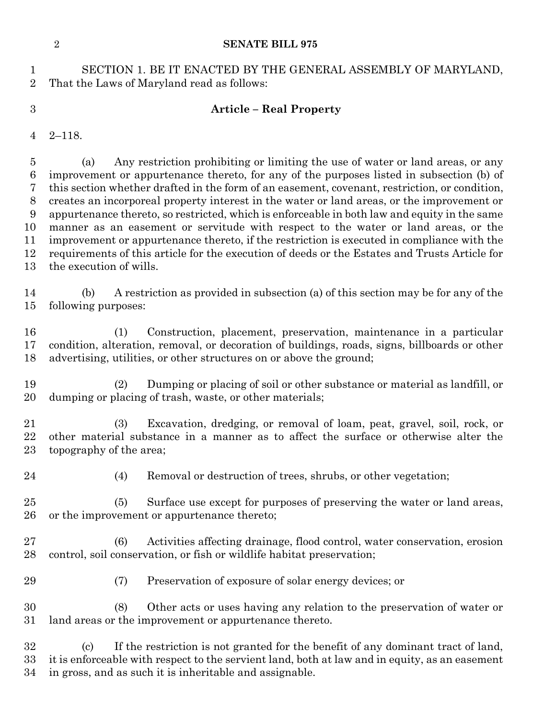#### **SENATE BILL 975**

 SECTION 1. BE IT ENACTED BY THE GENERAL ASSEMBLY OF MARYLAND, That the Laws of Maryland read as follows:

# **Article – Real Property**

2–118.

 (a) Any restriction prohibiting or limiting the use of water or land areas, or any improvement or appurtenance thereto, for any of the purposes listed in subsection (b) of this section whether drafted in the form of an easement, covenant, restriction, or condition, creates an incorporeal property interest in the water or land areas, or the improvement or appurtenance thereto, so restricted, which is enforceable in both law and equity in the same manner as an easement or servitude with respect to the water or land areas, or the improvement or appurtenance thereto, if the restriction is executed in compliance with the requirements of this article for the execution of deeds or the Estates and Trusts Article for the execution of wills.

 (b) A restriction as provided in subsection (a) of this section may be for any of the following purposes:

 (1) Construction, placement, preservation, maintenance in a particular condition, alteration, removal, or decoration of buildings, roads, signs, billboards or other advertising, utilities, or other structures on or above the ground;

 (2) Dumping or placing of soil or other substance or material as landfill, or dumping or placing of trash, waste, or other materials;

 (3) Excavation, dredging, or removal of loam, peat, gravel, soil, rock, or other material substance in a manner as to affect the surface or otherwise alter the topography of the area;

(4) Removal or destruction of trees, shrubs, or other vegetation;

 (5) Surface use except for purposes of preserving the water or land areas, or the improvement or appurtenance thereto;

 (6) Activities affecting drainage, flood control, water conservation, erosion control, soil conservation, or fish or wildlife habitat preservation;

(7) Preservation of exposure of solar energy devices; or

 (8) Other acts or uses having any relation to the preservation of water or land areas or the improvement or appurtenance thereto.

 (c) If the restriction is not granted for the benefit of any dominant tract of land, it is enforceable with respect to the servient land, both at law and in equity, as an easement in gross, and as such it is inheritable and assignable.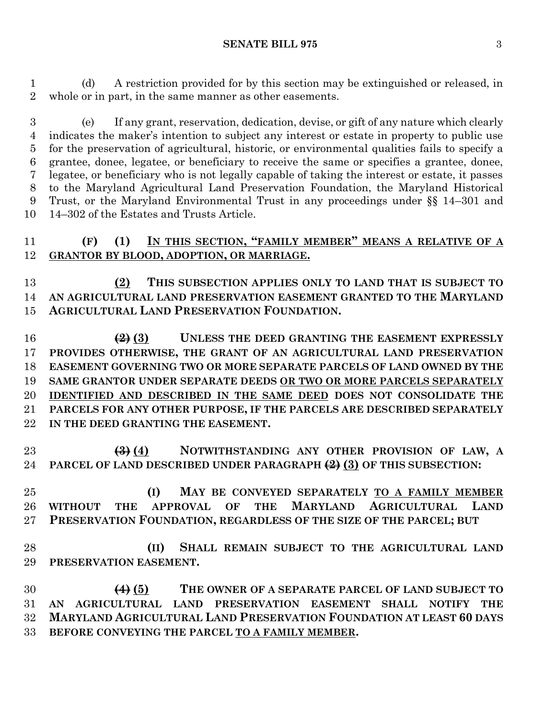(d) A restriction provided for by this section may be extinguished or released, in whole or in part, in the same manner as other easements.

 (e) If any grant, reservation, dedication, devise, or gift of any nature which clearly indicates the maker's intention to subject any interest or estate in property to public use for the preservation of agricultural, historic, or environmental qualities fails to specify a grantee, donee, legatee, or beneficiary to receive the same or specifies a grantee, donee, legatee, or beneficiary who is not legally capable of taking the interest or estate, it passes to the Maryland Agricultural Land Preservation Foundation, the Maryland Historical Trust, or the Maryland Environmental Trust in any proceedings under §§ 14–301 and 14–302 of the Estates and Trusts Article.

# **(F) (1) IN THIS SECTION, "FAMILY MEMBER" MEANS A RELATIVE OF A GRANTOR BY BLOOD, ADOPTION, OR MARRIAGE.**

 **(2) THIS SUBSECTION APPLIES ONLY TO LAND THAT IS SUBJECT TO AN AGRICULTURAL LAND PRESERVATION EASEMENT GRANTED TO THE MARYLAND AGRICULTURAL LAND PRESERVATION FOUNDATION.**

 **(2) (3) UNLESS THE DEED GRANTING THE EASEMENT EXPRESSLY PROVIDES OTHERWISE, THE GRANT OF AN AGRICULTURAL LAND PRESERVATION EASEMENT GOVERNING TWO OR MORE SEPARATE PARCELS OF LAND OWNED BY THE SAME GRANTOR UNDER SEPARATE DEEDS OR TWO OR MORE PARCELS SEPARATELY IDENTIFIED AND DESCRIBED IN THE SAME DEED DOES NOT CONSOLIDATE THE PARCELS FOR ANY OTHER PURPOSE, IF THE PARCELS ARE DESCRIBED SEPARATELY IN THE DEED GRANTING THE EASEMENT.**

 **(3) (4) NOTWITHSTANDING ANY OTHER PROVISION OF LAW, A PARCEL OF LAND DESCRIBED UNDER PARAGRAPH (2) (3) OF THIS SUBSECTION:**

 **(I) MAY BE CONVEYED SEPARATELY TO A FAMILY MEMBER WITHOUT THE APPROVAL OF THE MARYLAND AGRICULTURAL LAND PRESERVATION FOUNDATION, REGARDLESS OF THE SIZE OF THE PARCEL; BUT**

 **(II) SHALL REMAIN SUBJECT TO THE AGRICULTURAL LAND PRESERVATION EASEMENT.**

 **(4) (5) THE OWNER OF A SEPARATE PARCEL OF LAND SUBJECT TO AN AGRICULTURAL LAND PRESERVATION EASEMENT SHALL NOTIFY THE MARYLAND AGRICULTURAL LAND PRESERVATION FOUNDATION AT LEAST 60 DAYS BEFORE CONVEYING THE PARCEL TO A FAMILY MEMBER.**